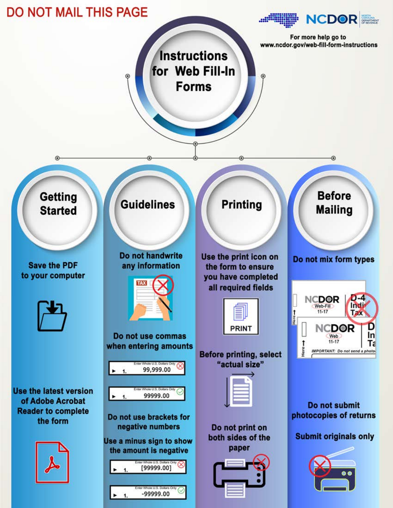